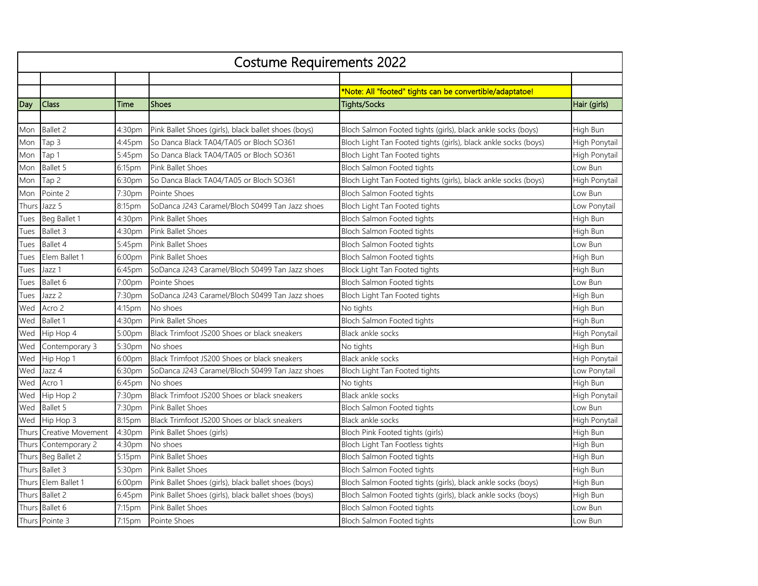| <b>Costume Requirements 2022</b> |                      |        |                                                      |                                                                 |               |  |  |
|----------------------------------|----------------------|--------|------------------------------------------------------|-----------------------------------------------------------------|---------------|--|--|
|                                  |                      |        |                                                      |                                                                 |               |  |  |
|                                  |                      |        |                                                      | *Note: All "footed" tights can be convertible/adaptatoe!        |               |  |  |
| Day                              | Class                | Time   | <b>Shoes</b>                                         | <b>Tights/Socks</b>                                             | Hair (girls)  |  |  |
|                                  |                      |        |                                                      |                                                                 |               |  |  |
| Mon                              | <b>Ballet 2</b>      | 4:30pm | Pink Ballet Shoes (girls), black ballet shoes (boys) | Bloch Salmon Footed tights (girls), black ankle socks (boys)    | High Bun      |  |  |
| Mon                              | Tap 3                | 4:45pm | So Danca Black TA04/TA05 or Bloch SO361              | Bloch Light Tan Footed tights (girls), black ankle socks (boys) | High Ponytail |  |  |
| Mon                              | Tap 1                | 5:45pm | So Danca Black TA04/TA05 or Bloch SO361              | Bloch Light Tan Footed tights                                   | High Ponytail |  |  |
| Mon                              | Ballet 5             | 6:15pm | <b>Pink Ballet Shoes</b>                             | Bloch Salmon Footed tights                                      | Low Bun       |  |  |
| Mon                              | Tap <sub>2</sub>     | 6:30pm | So Danca Black TA04/TA05 or Bloch SO361              | Bloch Light Tan Footed tights (girls), black ankle socks (boys) | High Ponytail |  |  |
| Mon                              | Pointe 2             | 7:30pm | Pointe Shoes                                         | Bloch Salmon Footed tights                                      | Low Bun       |  |  |
| Thurs                            | Jazz 5               | 8:15pm | SoDanca J243 Caramel/Bloch S0499 Tan Jazz shoes      | Bloch Light Tan Footed tights                                   | Low Ponytail  |  |  |
| Tues                             | Beg Ballet 1         | 4:30pm | Pink Ballet Shoes                                    | Bloch Salmon Footed tights                                      | High Bun      |  |  |
| Tues                             | Ballet 3             | 4:30pm | <b>Pink Ballet Shoes</b>                             | Bloch Salmon Footed tights                                      | High Bun      |  |  |
| Tues                             | Ballet 4             | 5:45pm | Pink Ballet Shoes                                    | Bloch Salmon Footed tights                                      | Low Bun       |  |  |
| Tues                             | Elem Ballet 1        | 6:00pm | Pink Ballet Shoes                                    | Bloch Salmon Footed tights                                      | High Bun      |  |  |
| Tues                             | Jazz 1               | 6:45pm | SoDanca J243 Caramel/Bloch S0499 Tan Jazz shoes      | Block Light Tan Footed tights                                   | High Bun      |  |  |
| Tues                             | Ballet 6             | 7:00pm | Pointe Shoes                                         | Bloch Salmon Footed tights                                      | Low Bun       |  |  |
| Tues                             | Jazz 2               | 7:30pm | SoDanca J243 Caramel/Bloch S0499 Tan Jazz shoes      | Bloch Light Tan Footed tights                                   | High Bun      |  |  |
| Wed                              | Acro 2               | 4:15pm | No shoes                                             | No tights                                                       | High Bun      |  |  |
| Wed                              | Ballet 1             | 4:30pm | Pink Ballet Shoes                                    | Bloch Salmon Footed tights                                      | High Bun      |  |  |
| Wed                              | Hip Hop 4            | 5:00pm | Black Trimfoot JS200 Shoes or black sneakers         | Black ankle socks                                               | High Ponytail |  |  |
| Wed                              | Contemporary 3       | 5:30pm | No shoes                                             | No tights                                                       | High Bun      |  |  |
| Wed                              | Hip Hop 1            | 6:00pm | Black Trimfoot JS200 Shoes or black sneakers         | Black ankle socks                                               | High Ponytail |  |  |
| Wed                              | Jazz 4               | 6:30pm | SoDanca J243 Caramel/Bloch S0499 Tan Jazz shoes      | Bloch Light Tan Footed tights                                   | Low Ponytail  |  |  |
| Wed                              | Acro 1               | 6:45pm | No shoes                                             | No tights                                                       | High Bun      |  |  |
| Wed                              | Hip Hop 2            | 7:30pm | Black Trimfoot JS200 Shoes or black sneakers         | Black ankle socks                                               | High Ponytail |  |  |
| Wed                              | Ballet 5             | 7:30pm | Pink Ballet Shoes                                    | Bloch Salmon Footed tights                                      | Low Bun       |  |  |
| Wed                              | Hip Hop 3            | 8:15pm | Black Trimfoot JS200 Shoes or black sneakers         | Black ankle socks                                               | High Ponytail |  |  |
| Thurs                            | Creative Movement    | 4:30pm | Pink Ballet Shoes (girls)                            | Bloch Pink Footed tights (girls)                                | High Bun      |  |  |
|                                  | Thurs Contemporary 2 | 4:30pm | No shoes                                             | Bloch Light Tan Footless tights                                 | High Bun      |  |  |
|                                  | Thurs Beg Ballet 2   | 5:15pm | Pink Ballet Shoes                                    | Bloch Salmon Footed tights                                      | High Bun      |  |  |
|                                  | Thurs Ballet 3       | 5:30pm | Pink Ballet Shoes                                    | Bloch Salmon Footed tights                                      | High Bun      |  |  |
|                                  | Thurs Elem Ballet 1  | 6:00pm | Pink Ballet Shoes (girls), black ballet shoes (boys) | Bloch Salmon Footed tights (girls), black ankle socks (boys)    | High Bun      |  |  |
|                                  | Thurs Ballet 2       | 6:45pm | Pink Ballet Shoes (girls), black ballet shoes (boys) | Bloch Salmon Footed tights (girls), black ankle socks (boys)    | High Bun      |  |  |
|                                  | Thurs Ballet 6       | 7:15pm | Pink Ballet Shoes                                    | Bloch Salmon Footed tights                                      | Low Bun       |  |  |
|                                  | Thurs Pointe 3       | 7:15pm | Pointe Shoes                                         | Bloch Salmon Footed tights                                      | Low Bun       |  |  |